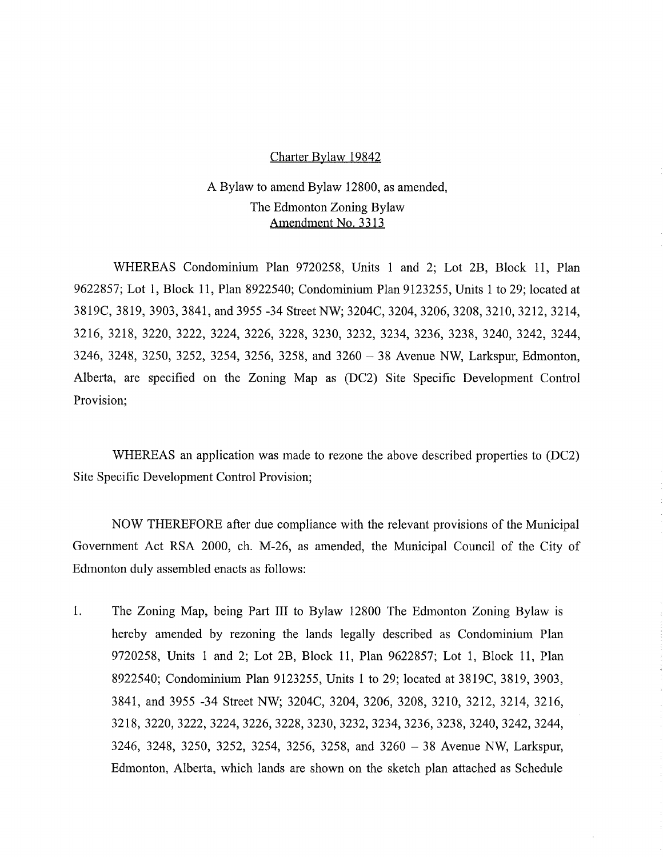#### Charter Bylaw 19842

# A Bylaw to amend Bylaw 12800, as amended, The Edmonton Zoning Bylaw Amendment No. 3313

WHEREAS Condominium Plan 9720258, Units 1 and 2; Lot 2B, Block 11, Plan 9622857; Lot 1, Block 11, Plan 8922540; Condominium Plan 9123255, Units 1 to 29; located at 3819C, 3819, 3903, 3841, and 3955 -34 Street NW; 3204C, 3204, 3206, 3208, 3210, 3212, 3214, 3216, 3218, 3220, 3222, 3224, 3226, 3228, 3230, 3232, 3234, 3236, 3238, 3240, 3242, 3244, 3246, 3248, 3250, 3252, 3254, 3256, 3258, and 3260 - 38 Avenue NW, Larkspur, Edmonton, Alberta, are specified on the Zoning Map as (DC2) Site Specific Development Control Provision;

WHEREAS an application was made to rezone the above described properties to (DC2) Site Specific Development Control Provision;

NOW THEREFORE after due compliance with the relevant provisions of the Municipal Government Act RSA 2000, ch. M-26, as amended, the Municipal Council of the City of Edmonton duly assembled enacts as follows:

1. The Zoning Map, being Part III to Bylaw 12800 The Edmonton Zoning Bylaw is hereby amended by rezoning the lands legally described as Condominium Plan 9720258, Units 1 and 2; Lot 2B, Block 11, Plan 9622857; Lot 1, Block 11, Plan 8922540; Condominium Plan 9123255, Units 1 to 29; located at 3819C, 3819, 3903, 3841, and 3955 -34 Street NW; 3204C, 3204, 3206, 3208, 3210, 3212, 3214, 3216, 3218, 3220, 3222, 3224, 3226, 3228, 3230, 3232, 3234, 3236, 3238, 3240, 3242, 3244, 3246, 3248, 3250, 3252, 3254, 3256, 3258, and 3260 - 38 Avenue NW, Larkspur, Edmonton, Alberta, which lands are shown on the sketch plan attached as Schedule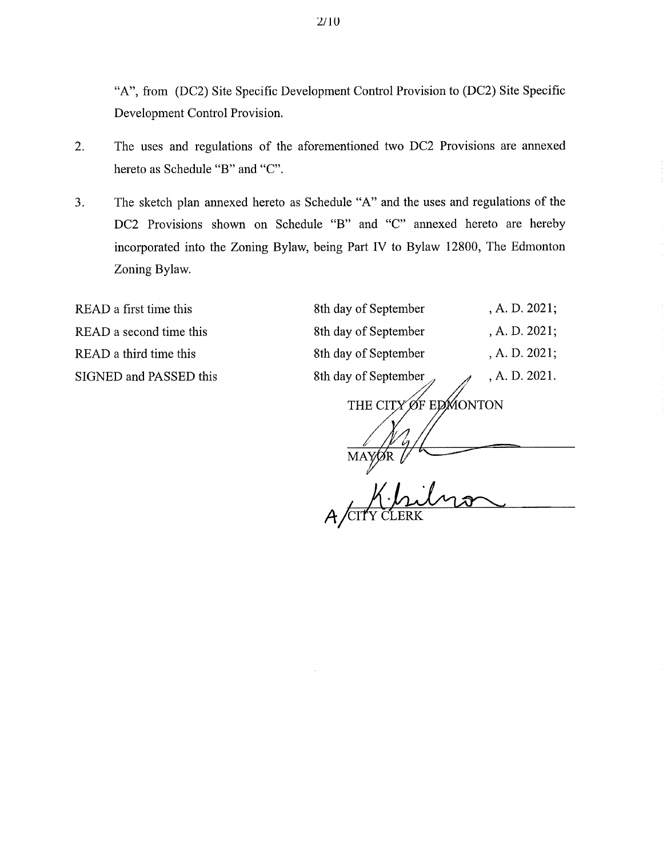"A", from (DC2) Site Specific Development Control Provision to (DC2) Site Specific Development Control Provision.

- 2. The uses and regulations of the aforementioned two DC2 Provisions are annexed hereto as Schedule "B" and "C".
- 3. The sketch plan annexed hereto as Schedule "A" and the uses and regulations of the DC2 Provisions shown on Schedule "B" and "C" annexed hereto are hereby incorporated into the Zoning Bylaw, being Part IV to Bylaw 12800, The Edmonton Zoning Bylaw.

READ a first time this READ a second time this READ a third time this SIGNED and PASSED this

| 8th day of September | , A. D. 2021; |
|----------------------|---------------|
| 8th day of September | , A. D. 2021; |
| 8th day of September | , A. D. 2021; |
| 8th day of September | , A. D. 2021. |
|                      |               |

THE CITY ØF EDMONTON

MAY n <u>hi</u>lino

A CITY CLERK

2/10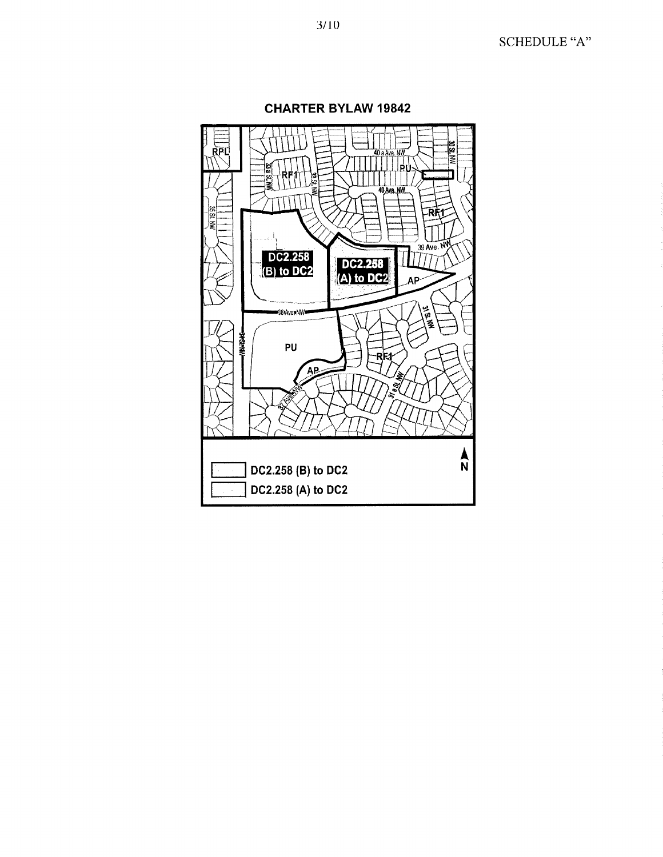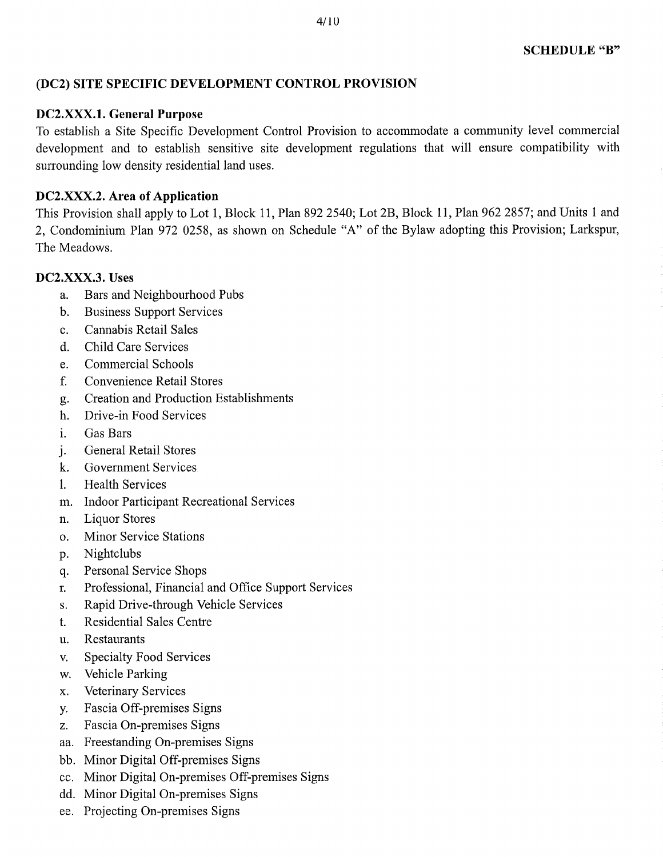# **(DC2) SITE SPECIFIC DEVELOPMENT CONTROL PROVISION**

### **DC2.XXX.1. General Purpose**

To establish a Site Specific Development Control Provision to accommodate a community level commercial development and to establish sensitive site development regulations that will ensure compatibility with surrounding low density residential land uses.

# **DC2.XXX.2.** Area of Application

This Provision shall apply to Lot 1, Block 11, Plan 892 2540; Lot 2B, Block 11, Plan 962 2857; and Units 1 and 2, Condominium Plan 972 0258, as shown on Schedule "A" of the Bylaw adopting this Provision; Larkspur, The Meadows.

# **DC2.XXX.3. Uses**

- a. Bars and Neighbourhood Pubs
- b. Business Support Services
- c. Cannabis Retail Sales
- d. Child Care Services
- e. Commercial Schools
- f. Convenience Retail Stores
- g. Creation and Production Establishments
- h. Drive-in Food Services
- i. Gas Bars
- j. General Retail Stores
- k. Government Services
- **1.** Health Services
- in. Indoor Participant Recreational Services
- n. Liquor Stores
- o. Minor Service Stations
- p. Nightclubs
- q. Personal Service Shops
- r. Professional, Financial and Office Support Services
- s. Rapid Drive-through Vehicle Services
- t. Residential Sales Centre
- u. Restaurants
- v. Specialty Food Services
- w. Vehicle Parking
- x. Veterinary Services
- y. Fascia Off-premises Signs
- z. Fascia On-premises Signs
- aa. Freestanding On-premises Signs
- bb. Minor Digital Off-premises Signs
- cc. Minor Digital On-premises Off-premises Signs
- dd. Minor Digital On-premises Signs
- ee. Projecting On-premises Signs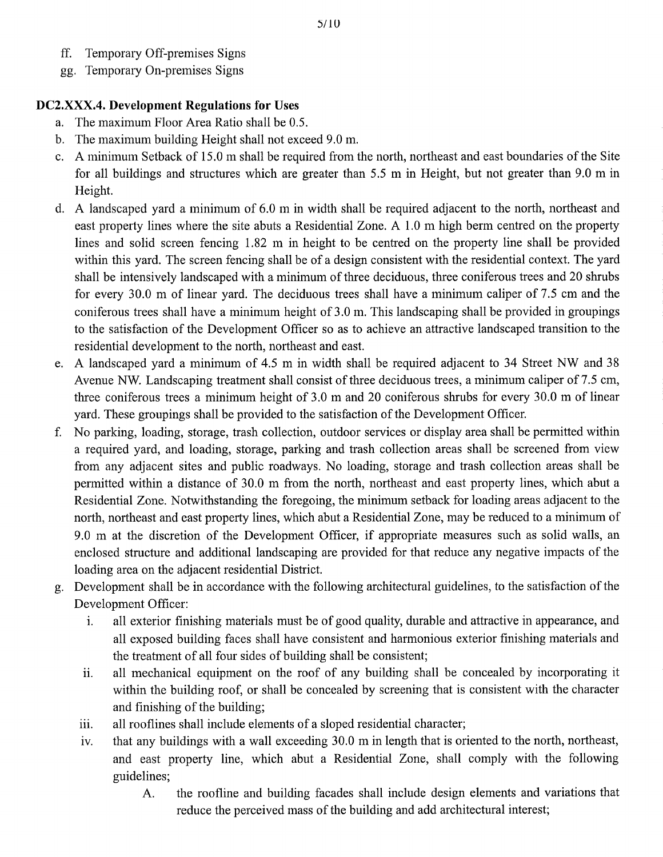- ff. Temporary Off-premises Signs
- gg. Temporary On-premises Signs

# **DC2.X.XX.4. Development Regulations for Uses**

- a. The maximum Floor Area Ratio shall be 0.5.
- b. The maximum building Height shall not exceed 9.0 m.
- c. A minimum Setback of 15.0 m shall be required from the north, northeast and east boundaries of the Site for all buildings and structures which are greater than 5.5 m in Height, but not greater than 9.0 m in Height.
- d. A landscaped yard a minimum of 6.0 m in width shall be required adjacent to the north, northeast and east property lines where the site abuts a Residential Zone. A 1.0 m high berm centred on the property lines and solid screen fencing 1.82 m in height to be centred on the property line shall be provided within this yard. The screen fencing shall be of a design consistent with the residential context. The yard shall be intensively landscaped with a minimum of three deciduous, three coniferous trees and 20 shrubs for every 30.0 m of linear yard. The deciduous trees shall have a minimum caliper of 7.5 cm and the coniferous trees shall have a minimum height of 3.0 m. This landscaping shall be provided in groupings to the satisfaction of the Development Officer so as to achieve an attractive landscaped transition to the residential development to the north, northeast and east.
- e. A landscaped yard a minimum of 4.5 m in width shall be required adjacent to 34 Street NW and 38 Avenue NW. Landscaping treatment shall consist of three deciduous trees, a minimum caliper of 7.5 cm, three coniferous trees a minimum height of 3.0 m and 20 coniferous shrubs for every 30.0 m of linear yard. These groupings shall be provided to the satisfaction of the Development Officer.
- f. No parking, loading, storage, trash collection, outdoor services or display area shall be permitted within a required yard, and loading, storage, parking and trash collection areas shall be screened from view from any adjacent sites and public roadways. No loading, storage and trash collection areas shall be permitted within a distance of 30.0 m from the north, northeast and east property lines, which abut a Residential Zone. Notwithstanding the foregoing, the minimum setback for loading areas adjacent to the north, northeast and east property lines, which abut a Residential Zone, may be reduced to a minimum of 9.0 m at the discretion of the Development Officer, if appropriate measures such as solid walls, an enclosed structure and additional landscaping are provided for that reduce any negative impacts of the loading area on the adjacent residential District.
- g. Development shall be in accordance with the following architectural guidelines, to the satisfaction of the Development Officer:
	- i. all exterior finishing materials must be of good quality, durable and attractive in appearance, and all exposed building faces shall have consistent and harmonious exterior finishing materials and the treatment of all four sides of building shall be consistent;
	- ii. all mechanical equipment on the roof of any building shall be concealed by incorporating it within the building roof, or shall be concealed by screening that is consistent with the character and finishing of the building;
	- iii. all rooflines shall include elements of a sloped residential character;
	- iv. that any buildings with a wall exceeding 30.0 m in length that is oriented to the north, northeast, and east property line, which abut a Residential Zone, shall comply with the following guidelines;
		- A. the roofline and building facades shall include design elements and variations that reduce the perceived mass of the building and add architectural interest;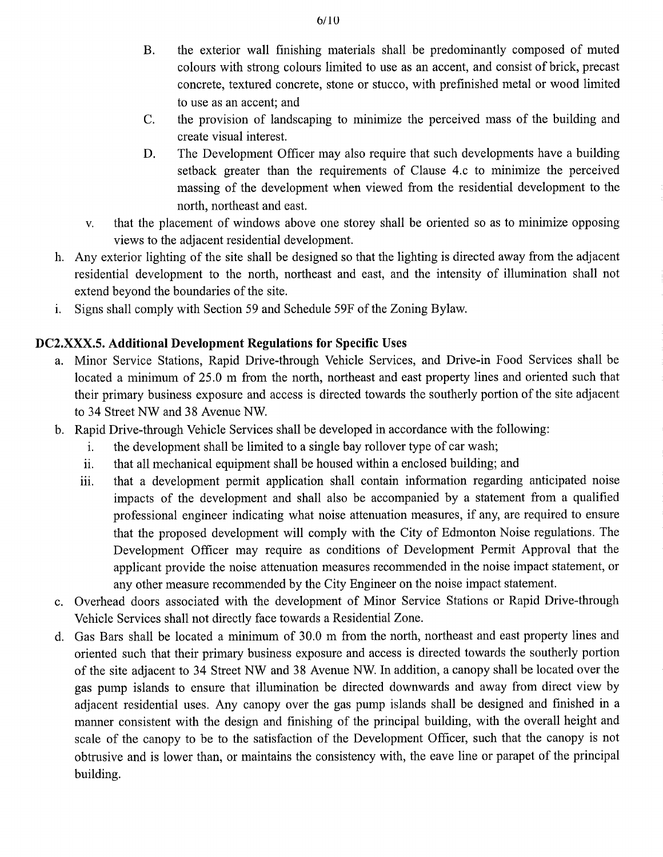- B. the exterior wall finishing materials shall be predominantly composed of muted colours with strong colours limited to use as an accent, and consist of brick, precast concrete, textured concrete, stone or stucco, with prefinished metal or wood limited to use as an accent; and
- C. the provision of landscaping to minimize the perceived mass of the building and create visual interest.
- D. The Development Officer may also require that such developments have a building setback greater than the requirements of Clause 4.c to minimize the perceived massing of the development when viewed from the residential development to the north, northeast and east.
- v. that the placement of windows above one storey shall be oriented so as to minimize opposing views to the adjacent residential development.
- h. Any exterior lighting of the site shall be designed so that the lighting is directed away from the adjacent residential development to the north, northeast and east, and the intensity of illumination shall not extend beyond the boundaries of the site.
- Signs shall comply with Section 59 and Schedule 59F of the Zoning Bylaw.  $\mathbf{i}$ .

# DC2.XXX.5. Additional Development Regulations for Specific Uses

- a. Minor Service Stations, Rapid Drive-through Vehicle Services, and Drive-in Food Services shall be located a minimum of 25.0 m from the north, northeast and east property lines and oriented such that their primary business exposure and access is directed towards the southerly portion of the site adjacent to 34 Street NW and 38 Avenue NW.
- b. Rapid Drive-through Vehicle Services shall be developed in accordance with the following:
	- i. the development shall be limited to a single bay rollover type of car wash;
	- ii. that all mechanical equipment shall be housed within a enclosed building; and
	- iii. that a development permit application shall contain information regarding anticipated noise impacts of the development and shall also be accompanied by a statement from a qualified professional engineer indicating what noise attenuation measures, if any, are required to ensure that the proposed development will comply with the City of Edmonton Noise regulations. The Development Officer may require as conditions of Development Permit Approval that the applicant provide the noise attenuation measures recommended in the noise impact statement, or any other measure recommended by the City Engineer on the noise impact statement.
- c. Overhead doors associated with the development of Minor Service Stations or Rapid Drive-through Vehicle Services shall not directly face towards a Residential Zone.
- d. Gas Bars shall be located a minimum of 30.0 m from the north, northeast and east property lines and oriented such that their primary business exposure and access is directed towards the southerly portion of the site adjacent to 34 Street NW and 38 Avenue NW. In addition, a canopy shall be located over the gas pump islands to ensure that illumination be directed downwards and away from direct view by adjacent residential uses. Any canopy over the gas pump islands shall be designed and finished in a manner consistent with the design and finishing of the principal building, with the overall height and scale of the canopy to be to the satisfaction of the Development Officer, such that the canopy is not obtrusive and is lower than, or maintains the consistency with, the eave line or parapet of the principal building.

 $6/10$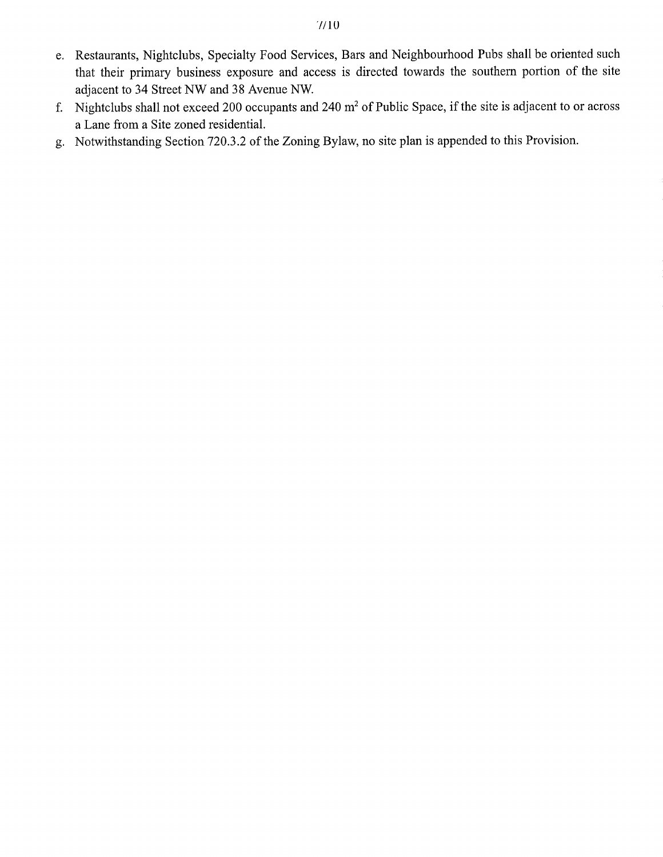- e. Restaurants, Nightclubs, Specialty Food Services, Bars and Neighbourhood Pubs shall be oriented such that their primary business exposure and access is directed towards the southern portion of the site adjacent to 34 Street NW and 38 Avenue NW.
- f. Nightclubs shall not exceed 200 occupants and 240  $m<sup>2</sup>$  of Public Space, if the site is adjacent to or across a Lane from a Site zoned residential.
- g. Notwithstanding Section 720.3.2 of the Zoning Bylaw, no site plan is appended to this Provision.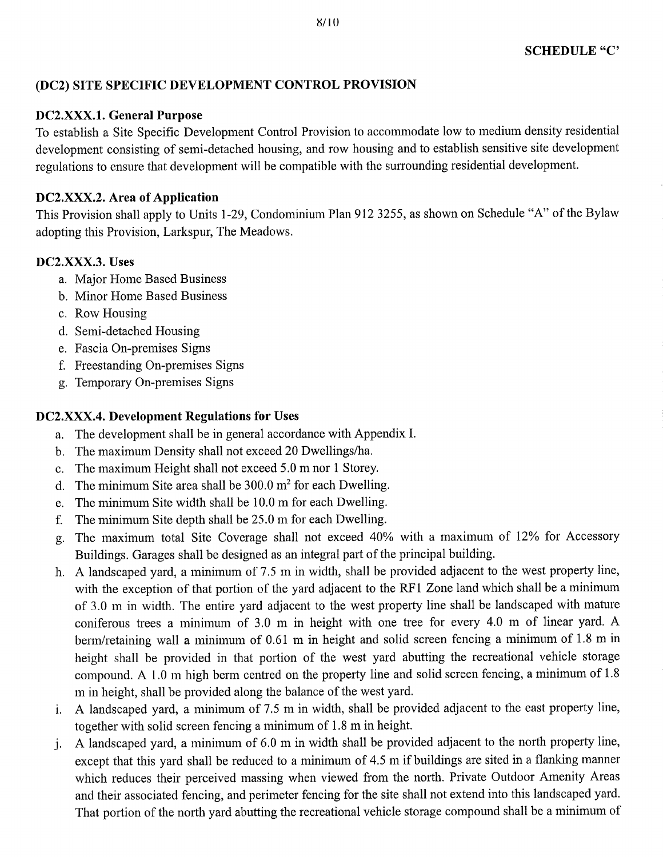### **(DC2) SITE SPECIFIC DEVELOPMENT CONTROL PROVISION**

### **DC2.X.XX.1. General Purpose**

To establish a Site Specific Development Control Provision to accommodate low to medium density residential development consisting of semi-detached housing, and row housing and to establish sensitive site development regulations to ensure that development will be compatible with the surrounding residential development.

# **DC2.XXX.2. Area of Application**

This Provision shall apply to Units 1-29, Condominium Plan 912 3255, as shown on Schedule "A" of the Bylaw adopting this Provision, Larkspur, The Meadows.

# **DC2.XXX.3. Uses**

- a. Major Home Based Business
- b. Minor Home Based Business
- c. Row Housing
- d. Semi-detached Housing
- e. Fascia On-premises Signs
- f. Freestanding On-premises Signs
- g. Temporary On-premises Signs

# **DC2.XXX.4. Development Regulations for Uses**

- a. The development shall be in general accordance with Appendix I.
- b. The maximum Density shall not exceed 20 Dwellings/ha.
- c. The maximum Height shall not exceed 5.0 m nor 1 Storey.
- d. The minimum Site area shall be  $300.0 \text{ m}^2$  for each Dwelling.
- e. The minimum Site width shall be 10.0 m for each Dwelling.
- f. The minimum Site depth shall be 25.0 m for each Dwelling.
- g. The maximum total Site Coverage shall not exceed 40% with a maximum of 12% for Accessory Buildings. Garages shall be designed as an integral part of the principal building.
- h. A landscaped yard, a minimum of 7.5 m in width, shall be provided adjacent to the west property line, with the exception of that portion of the yard adjacent to the RF1 Zone land which shall be a minimum of 3.0 m in width. The entire yard adjacent to the west property line shall be landscaped with mature coniferous trees a minimum of 3.0 m in height with one tree for every 4.0 m of linear yard. A berm/retaining wall a minimum of 0.61 m in height and solid screen fencing a minimum of 1.8 m in height shall be provided in that portion of the west yard abutting the recreational vehicle storage compound. A 1.0 m high berm centred on the property line and solid screen fencing, a minimum of 1.8 m in height, shall be provided along the balance of the west yard.
- i. A landscaped yard, a minimum of 7.5 m in width, shall be provided adjacent to the east property line, together with solid screen fencing a minimum of 1.8 m in height.
- j. A landscaped yard, a minimum of 6.0 m in width shall be provided adjacent to the north property line, except that this yard shall be reduced to a minimum of 4.5 m if buildings are sited in a flanking manner which reduces their perceived massing when viewed from the north. Private Outdoor Amenity Areas and their associated fencing, and perimeter fencing for the site shall not extend into this landscaped yard. That portion of the north yard abutting the recreational vehicle storage compound shall be a minimum of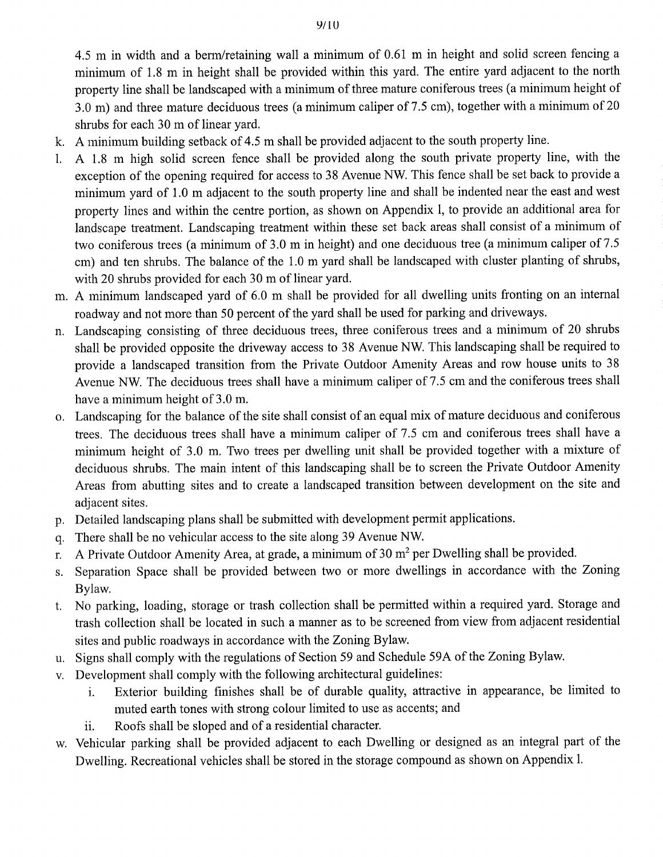4.5 m in width and a berm/retaining wall a minimum of 0.61 m in height and solid screen fencing a minimum of 1.8 m in height shall be provided within this yard. The entire yard adjacent to the north property line shall be landscaped with a minimum of three mature coniferous trees (a minimum height of 3.0 m) and three mature deciduous trees (a minimum caliper of 7.5 cm), together with a minimum of 20 shrubs for each 30 m of linear yard.

- k. A minimum building setback of 4.5 m shall be provided adjacent to the south property line.
- 1. A 1.8 m high solid screen fence shall be provided along the south private property line, with the exception of the opening required for access to 38 Avenue NW. This fence shall be set back to provide a minimum yard of 1.0 m adjacent to the south property line and shall be indented near the east and west property lines and within the centre portion, as shown on Appendix 1, to provide an additional area for landscape treatment. Landscaping treatment within these set back areas shall consist of a minimum of two coniferous trees (a minimum of 3.0 m in height) and one deciduous tree (a minimum caliper of 7.5 cm) and ten shrubs. The balance of the 1.0 m yard shall be landscaped with cluster planting of shrubs, with 20 shrubs provided for each 30 m of linear yard.
- m. A minimum landscaped yard of 6.0 m shall be provided for all dwelling units fronting on an internal roadway and not more than 50 percent of the yard shall be used for parking and driveways.
- n. Landscaping consisting of three deciduous trees, three coniferous trees and a minimum of 20 shrubs shall be provided opposite the driveway access to 38 Avenue NW. This landscaping shall be required to provide a landscaped transition from the Private Outdoor Amenity Areas and row house units to 38 Avenue NW. The deciduous trees shall have a minimum caliper of 7.5 cm and the coniferous trees shall have a minimum height of 3.0 m.
- o. Landscaping for the balance of the site shall consist of an equal mix of mature deciduous and coniferous trees. The deciduous trees shall have a minimum caliper of 7.5 cm and coniferous trees shall have a minimum height of 3.0 m. Two trees per dwelling unit shall be provided together with a mixture of deciduous shrubs. The main intent of this landscaping shall be to screen the Private Outdoor Amenity Areas from abutting sites and to create a landscaped transition between development on the site and adjacent sites.
- p. Detailed landscaping plans shall be submitted with development permit applications.
- q. There shall be no vehicular access to the site along 39 Avenue NW.
- r. A Private Outdoor Amenity Area, at grade, a minimum of 30  $m<sup>2</sup>$  per Dwelling shall be provided.
- s. Separation Space shall be provided between two or more dwellings in accordance with the Zoning Bylaw.
- t. No parking, loading, storage or trash collection shall be permitted within a required yard. Storage and trash collection shall be located in such a manner as to be screened from view from adjacent residential sites and public roadways in accordance with the Zoning Bylaw.
- u. Signs shall comply with the regulations of Section 59 and Schedule 59A of the Zoning Bylaw.
- v. Development shall comply with the following architectural guidelines:
	- i. Exterior building finishes shall be of durable quality, attractive in appearance, be limited to muted earth tones with strong colour limited to use as accents; and
	- ii. Roofs shall be sloped and of a residential character.
- w. Vehicular parking shall be provided adjacent to each Dwelling or designed as an integral part of the Dwelling. Recreational vehicles shall be stored in the storage compound as shown on Appendix 1.